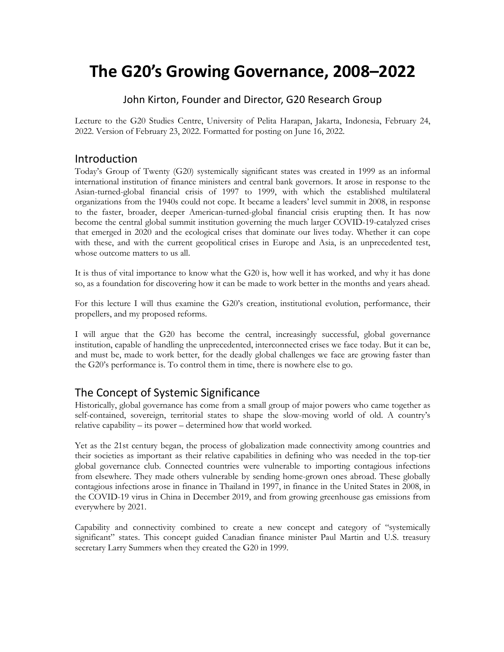# **The G20's Growing Governance, 2008–2022**

#### John Kirton, Founder and Director, G20 Research Group

Lecture to the G20 Studies Centre, University of Pelita Harapan, Jakarta, Indonesia, February 24, 2022. Version of February 23, 2022. Formatted for posting on June 16, 2022.

#### Introduction

Today's Group of Twenty (G20) systemically significant states was created in 1999 as an informal international institution of finance ministers and central bank governors. It arose in response to the Asian-turned-global financial crisis of 1997 to 1999, with which the established multilateral organizations from the 1940s could not cope. It became a leaders' level summit in 2008, in response to the faster, broader, deeper American-turned-global financial crisis erupting then. It has now become the central global summit institution governing the much larger COVID-19-catalyzed crises that emerged in 2020 and the ecological crises that dominate our lives today. Whether it can cope with these, and with the current geopolitical crises in Europe and Asia, is an unprecedented test, whose outcome matters to us all.

It is thus of vital importance to know what the G20 is, how well it has worked, and why it has done so, as a foundation for discovering how it can be made to work better in the months and years ahead.

For this lecture I will thus examine the G20's creation, institutional evolution, performance, their propellers, and my proposed reforms.

I will argue that the G20 has become the central, increasingly successful, global governance institution, capable of handling the unprecedented, interconnected crises we face today. But it can be, and must be, made to work better, for the deadly global challenges we face are growing faster than the G20's performance is. To control them in time, there is nowhere else to go.

#### The Concept of Systemic Significance

Historically, global governance has come from a small group of major powers who came together as self-contained, sovereign, territorial states to shape the slow-moving world of old. A country's relative capability – its power – determined how that world worked.

Yet as the 21st century began, the process of globalization made connectivity among countries and their societies as important as their relative capabilities in defining who was needed in the top-tier global governance club. Connected countries were vulnerable to importing contagious infections from elsewhere. They made others vulnerable by sending home-grown ones abroad. These globally contagious infections arose in finance in Thailand in 1997, in finance in the United States in 2008, in the COVID-19 virus in China in December 2019, and from growing greenhouse gas emissions from everywhere by 2021.

Capability and connectivity combined to create a new concept and category of "systemically significant" states. This concept guided Canadian finance minister Paul Martin and U.S. treasury secretary Larry Summers when they created the G20 in 1999.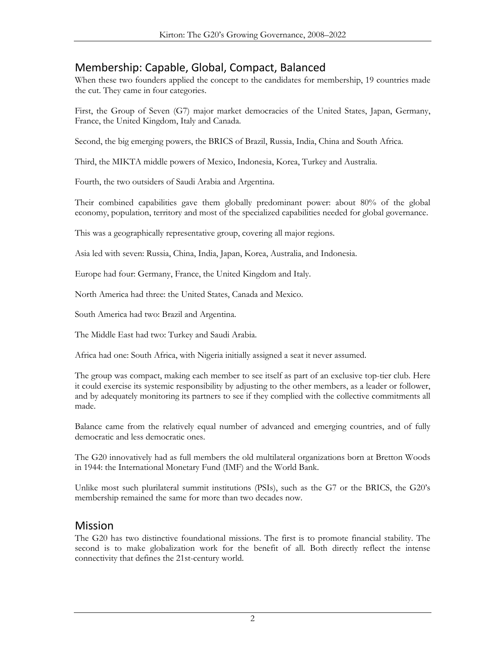# Membership: Capable, Global, Compact, Balanced

When these two founders applied the concept to the candidates for membership, 19 countries made the cut. They came in four categories.

First, the Group of Seven (G7) major market democracies of the United States, Japan, Germany, France, the United Kingdom, Italy and Canada.

Second, the big emerging powers, the BRICS of Brazil, Russia, India, China and South Africa.

Third, the MIKTA middle powers of Mexico, Indonesia, Korea, Turkey and Australia.

Fourth, the two outsiders of Saudi Arabia and Argentina.

Their combined capabilities gave them globally predominant power: about 80% of the global economy, population, territory and most of the specialized capabilities needed for global governance.

This was a geographically representative group, covering all major regions.

Asia led with seven: Russia, China, India, Japan, Korea, Australia, and Indonesia.

Europe had four: Germany, France, the United Kingdom and Italy.

North America had three: the United States, Canada and Mexico.

South America had two: Brazil and Argentina.

The Middle East had two: Turkey and Saudi Arabia.

Africa had one: South Africa, with Nigeria initially assigned a seat it never assumed.

The group was compact, making each member to see itself as part of an exclusive top-tier club. Here it could exercise its systemic responsibility by adjusting to the other members, as a leader or follower, and by adequately monitoring its partners to see if they complied with the collective commitments all made.

Balance came from the relatively equal number of advanced and emerging countries, and of fully democratic and less democratic ones.

The G20 innovatively had as full members the old multilateral organizations born at Bretton Woods in 1944: the International Monetary Fund (IMF) and the World Bank.

Unlike most such plurilateral summit institutions (PSIs), such as the G7 or the BRICS, the G20's membership remained the same for more than two decades now.

#### Mission

The G20 has two distinctive foundational missions. The first is to promote financial stability. The second is to make globalization work for the benefit of all. Both directly reflect the intense connectivity that defines the 21st-century world.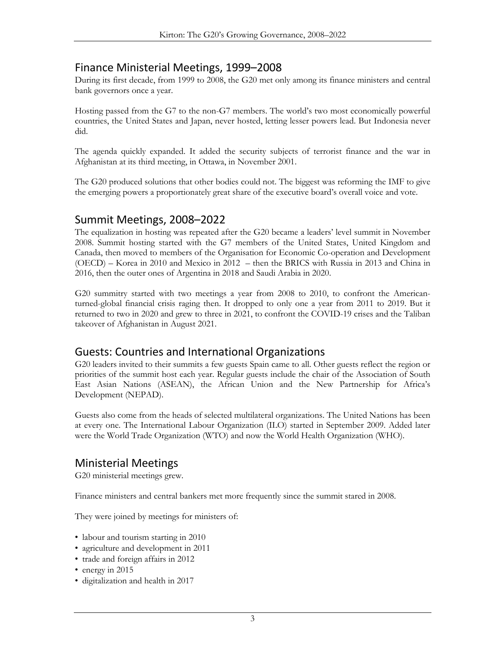#### Finance Ministerial Meetings, 1999–2008

During its first decade, from 1999 to 2008, the G20 met only among its finance ministers and central bank governors once a year.

Hosting passed from the G7 to the non-G7 members. The world's two most economically powerful countries, the United States and Japan, never hosted, letting lesser powers lead. But Indonesia never did.

The agenda quickly expanded. It added the security subjects of terrorist finance and the war in Afghanistan at its third meeting, in Ottawa, in November 2001.

The G20 produced solutions that other bodies could not. The biggest was reforming the IMF to give the emerging powers a proportionately great share of the executive board's overall voice and vote.

#### Summit Meetings, 2008–2022

The equalization in hosting was repeated after the G20 became a leaders' level summit in November 2008. Summit hosting started with the G7 members of the United States, United Kingdom and Canada, then moved to members of the Organisation for Economic Co-operation and Development (OECD) – Korea in 2010 and Mexico in 2012 – then the BRICS with Russia in 2013 and China in 2016, then the outer ones of Argentina in 2018 and Saudi Arabia in 2020.

G20 summitry started with two meetings a year from 2008 to 2010, to confront the Americanturned-global financial crisis raging then. It dropped to only one a year from 2011 to 2019. But it returned to two in 2020 and grew to three in 2021, to confront the COVID-19 crises and the Taliban takeover of Afghanistan in August 2021.

#### Guests: Countries and International Organizations

G20 leaders invited to their summits a few guests Spain came to all. Other guests reflect the region or priorities of the summit host each year. Regular guests include the chair of the Association of South East Asian Nations (ASEAN), the African Union and the New Partnership for Africa's Development (NEPAD).

Guests also come from the heads of selected multilateral organizations. The United Nations has been at every one. The International Labour Organization (ILO) started in September 2009. Added later were the World Trade Organization (WTO) and now the World Health Organization (WHO).

# Ministerial Meetings

G20 ministerial meetings grew.

Finance ministers and central bankers met more frequently since the summit stared in 2008.

They were joined by meetings for ministers of:

- labour and tourism starting in 2010
- agriculture and development in 2011
- trade and foreign affairs in 2012
- energy in 2015
- digitalization and health in 2017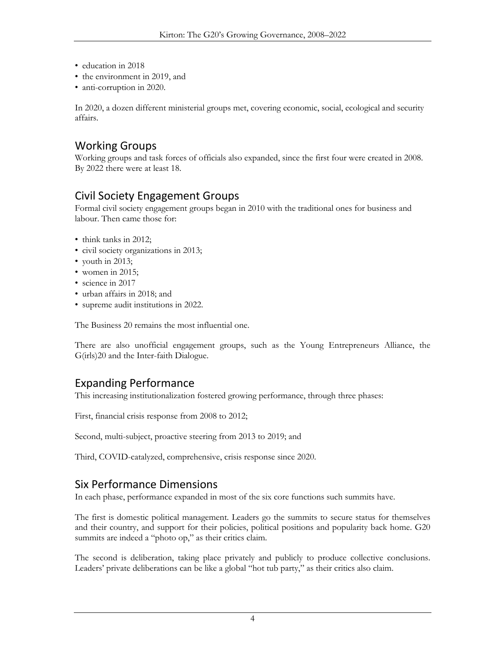- education in 2018
- the environment in 2019, and
- anti-corruption in 2020.

In 2020, a dozen different ministerial groups met, covering economic, social, ecological and security affairs.

# Working Groups

Working groups and task forces of officials also expanded, since the first four were created in 2008. By 2022 there were at least 18.

# Civil Society Engagement Groups

Formal civil society engagement groups began in 2010 with the traditional ones for business and labour. Then came those for:

- think tanks in 2012:
- civil society organizations in 2013;
- youth in 2013;
- women in 2015;
- science in 2017
- urban affairs in 2018; and
- supreme audit institutions in 2022.

The Business 20 remains the most influential one.

There are also unofficial engagement groups, such as the Young Entrepreneurs Alliance, the G(irls)20 and the Inter-faith Dialogue.

# Expanding Performance

This increasing institutionalization fostered growing performance, through three phases:

First, financial crisis response from 2008 to 2012;

Second, multi-subject, proactive steering from 2013 to 2019; and

Third, COVID-catalyzed, comprehensive, crisis response since 2020.

# Six Performance Dimensions

In each phase, performance expanded in most of the six core functions such summits have.

The first is domestic political management. Leaders go the summits to secure status for themselves and their country, and support for their policies, political positions and popularity back home. G20 summits are indeed a "photo op," as their critics claim.

The second is deliberation, taking place privately and publicly to produce collective conclusions. Leaders' private deliberations can be like a global "hot tub party," as their critics also claim.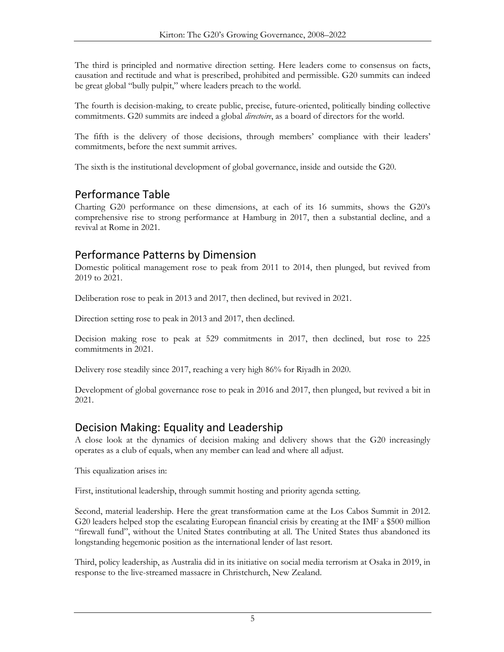The third is principled and normative direction setting. Here leaders come to consensus on facts, causation and rectitude and what is prescribed, prohibited and permissible. G20 summits can indeed be great global "bully pulpit," where leaders preach to the world.

The fourth is decision-making, to create public, precise, future-oriented, politically binding collective commitments. G20 summits are indeed a global *directoire*, as a board of directors for the world.

The fifth is the delivery of those decisions, through members' compliance with their leaders' commitments, before the next summit arrives.

The sixth is the institutional development of global governance, inside and outside the G20.

### Performance Table

Charting G20 performance on these dimensions, at each of its 16 summits, shows the G20's comprehensive rise to strong performance at Hamburg in 2017, then a substantial decline, and a revival at Rome in 2021.

### Performance Patterns by Dimension

Domestic political management rose to peak from 2011 to 2014, then plunged, but revived from 2019 to 2021.

Deliberation rose to peak in 2013 and 2017, then declined, but revived in 2021.

Direction setting rose to peak in 2013 and 2017, then declined.

Decision making rose to peak at 529 commitments in 2017, then declined, but rose to 225 commitments in 2021.

Delivery rose steadily since 2017, reaching a very high 86% for Riyadh in 2020.

Development of global governance rose to peak in 2016 and 2017, then plunged, but revived a bit in 2021.

# Decision Making: Equality and Leadership

A close look at the dynamics of decision making and delivery shows that the G20 increasingly operates as a club of equals, when any member can lead and where all adjust.

This equalization arises in:

First, institutional leadership, through summit hosting and priority agenda setting.

Second, material leadership. Here the great transformation came at the Los Cabos Summit in 2012. G20 leaders helped stop the escalating European financial crisis by creating at the IMF a \$500 million "firewall fund", without the United States contributing at all. The United States thus abandoned its longstanding hegemonic position as the international lender of last resort.

Third, policy leadership, as Australia did in its initiative on social media terrorism at Osaka in 2019, in response to the live-streamed massacre in Christchurch, New Zealand.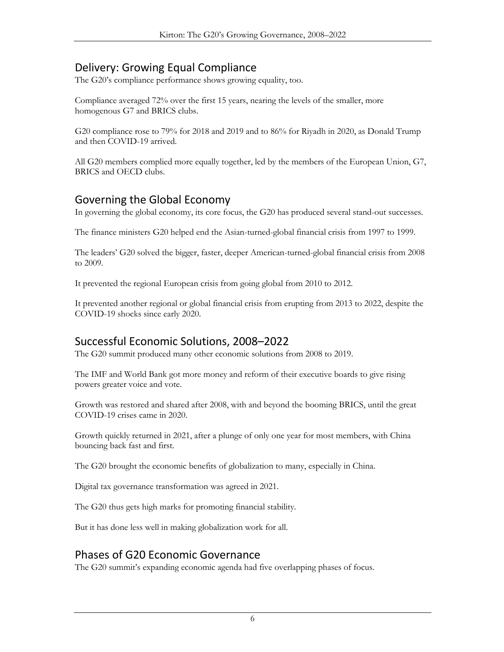# Delivery: Growing Equal Compliance

The G20's compliance performance shows growing equality, too.

Compliance averaged 72% over the first 15 years, nearing the levels of the smaller, more homogenous G7 and BRICS clubs.

G20 compliance rose to 79% for 2018 and 2019 and to 86% for Riyadh in 2020, as Donald Trump and then COVID-19 arrived.

All G20 members complied more equally together, led by the members of the European Union, G7, BRICS and OECD clubs.

# Governing the Global Economy

In governing the global economy, its core focus, the G20 has produced several stand-out successes.

The finance ministers G20 helped end the Asian-turned-global financial crisis from 1997 to 1999.

The leaders' G20 solved the bigger, faster, deeper American-turned-global financial crisis from 2008 to 2009.

It prevented the regional European crisis from going global from 2010 to 2012.

It prevented another regional or global financial crisis from erupting from 2013 to 2022, despite the COVID-19 shocks since early 2020.

# Successful Economic Solutions, 2008–2022

The G20 summit produced many other economic solutions from 2008 to 2019.

The IMF and World Bank got more money and reform of their executive boards to give rising powers greater voice and vote.

Growth was restored and shared after 2008, with and beyond the booming BRICS, until the great COVID-19 crises came in 2020.

Growth quickly returned in 2021, after a plunge of only one year for most members, with China bouncing back fast and first.

The G20 brought the economic benefits of globalization to many, especially in China.

Digital tax governance transformation was agreed in 2021.

The G20 thus gets high marks for promoting financial stability.

But it has done less well in making globalization work for all.

# Phases of G20 Economic Governance

The G20 summit's expanding economic agenda had five overlapping phases of focus.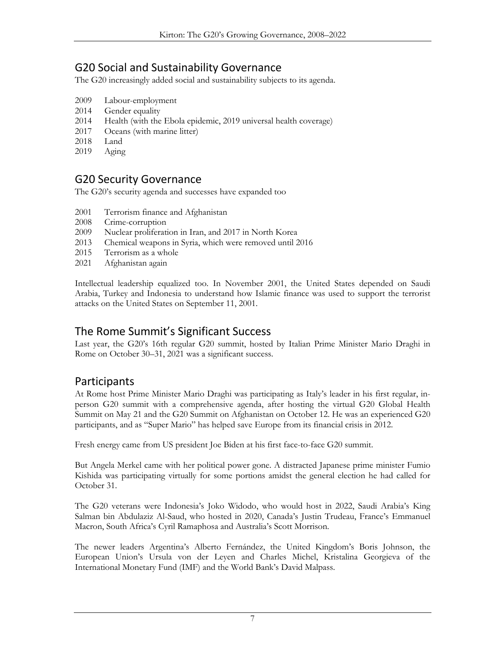# G20 Social and Sustainability Governance

The G20 increasingly added social and sustainability subjects to its agenda.

- 2009 Labour-employment
- 2014 Gender equality
- 2014 Health (with the Ebola epidemic, 2019 universal health coverage)
- 2017 Oceans (with marine litter)
- 2018 Land
- 2019 Aging

### G20 Security Governance

The G20's security agenda and successes have expanded too

- 2001 Terrorism finance and Afghanistan
- 2008 Crime-corruption
- 2009 Nuclear proliferation in Iran, and 2017 in North Korea
- 2013 Chemical weapons in Syria, which were removed until 2016
- 2015 Terrorism as a whole
- 2021 Afghanistan again

Intellectual leadership equalized too. In November 2001, the United States depended on Saudi Arabia, Turkey and Indonesia to understand how Islamic finance was used to support the terrorist attacks on the United States on September 11, 2001.

# The Rome Summit's Significant Success

Last year, the G20's 16th regular G20 summit, hosted by Italian Prime Minister Mario Draghi in Rome on October 30–31, 2021 was a significant success.

#### Participants

At Rome host Prime Minister Mario Draghi was participating as Italy's leader in his first regular, inperson G20 summit with a comprehensive agenda, after hosting the virtual G20 Global Health Summit on May 21 and the G20 Summit on Afghanistan on October 12. He was an experienced G20 participants, and as "Super Mario" has helped save Europe from its financial crisis in 2012.

Fresh energy came from US president Joe Biden at his first face-to-face G20 summit.

But Angela Merkel came with her political power gone. A distracted Japanese prime minister Fumio Kishida was participating virtually for some portions amidst the general election he had called for October 31.

The G20 veterans were Indonesia's Joko Widodo, who would host in 2022, Saudi Arabia's King Salman bin Abdulaziz Al-Saud, who hosted in 2020, Canada's Justin Trudeau, France's Emmanuel Macron, South Africa's Cyril Ramaphosa and Australia's Scott Morrison.

The newer leaders Argentina's Alberto Fernández, the United Kingdom's Boris Johnson, the European Union's Ursula von der Leyen and Charles Michel, Kristalina Georgieva of the International Monetary Fund (IMF) and the World Bank's David Malpass.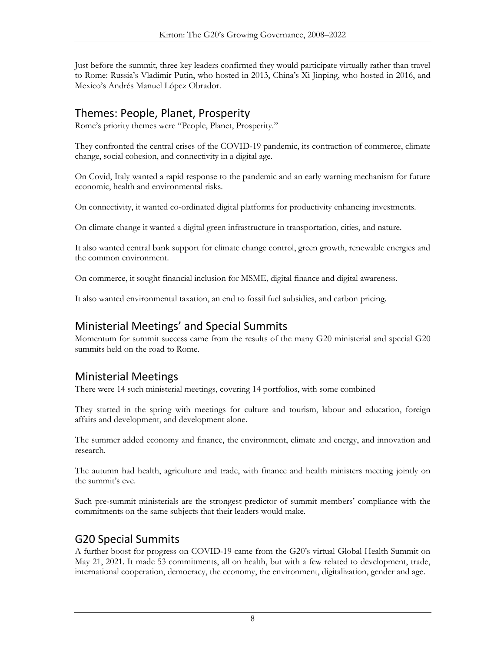Just before the summit, three key leaders confirmed they would participate virtually rather than travel to Rome: Russia's Vladimir Putin, who hosted in 2013, China's Xi Jinping, who hosted in 2016, and Mexico's Andrés Manuel López Obrador.

# Themes: People, Planet, Prosperity

Rome's priority themes were "People, Planet, Prosperity."

They confronted the central crises of the COVID-19 pandemic, its contraction of commerce, climate change, social cohesion, and connectivity in a digital age.

On Covid, Italy wanted a rapid response to the pandemic and an early warning mechanism for future economic, health and environmental risks.

On connectivity, it wanted co-ordinated digital platforms for productivity enhancing investments.

On climate change it wanted a digital green infrastructure in transportation, cities, and nature.

It also wanted central bank support for climate change control, green growth, renewable energies and the common environment.

On commerce, it sought financial inclusion for MSME, digital finance and digital awareness.

It also wanted environmental taxation, an end to fossil fuel subsidies, and carbon pricing.

### Ministerial Meetings' and Special Summits

Momentum for summit success came from the results of the many G20 ministerial and special G20 summits held on the road to Rome.

# Ministerial Meetings

There were 14 such ministerial meetings, covering 14 portfolios, with some combined

They started in the spring with meetings for culture and tourism, labour and education, foreign affairs and development, and development alone.

The summer added economy and finance, the environment, climate and energy, and innovation and research.

The autumn had health, agriculture and trade, with finance and health ministers meeting jointly on the summit's eve.

Such pre-summit ministerials are the strongest predictor of summit members' compliance with the commitments on the same subjects that their leaders would make.

# G20 Special Summits

A further boost for progress on COVID-19 came from the G20's virtual Global Health Summit on May 21, 2021. It made 53 commitments, all on health, but with a few related to development, trade, international cooperation, democracy, the economy, the environment, digitalization, gender and age.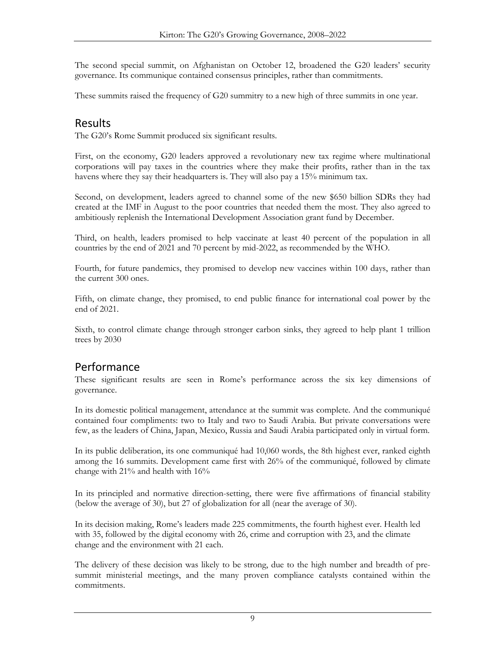The second special summit, on Afghanistan on October 12, broadened the G20 leaders' security governance. Its communique contained consensus principles, rather than commitments.

These summits raised the frequency of G20 summitry to a new high of three summits in one year.

#### Results

The G20's Rome Summit produced six significant results.

First, on the economy, G20 leaders approved a revolutionary new tax regime where multinational corporations will pay taxes in the countries where they make their profits, rather than in the tax havens where they say their headquarters is. They will also pay a 15% minimum tax.

Second, on development, leaders agreed to channel some of the new \$650 billion SDRs they had created at the IMF in August to the poor countries that needed them the most. They also agreed to ambitiously replenish the International Development Association grant fund by December.

Third, on health, leaders promised to help vaccinate at least 40 percent of the population in all countries by the end of 2021 and 70 percent by mid-2022, as recommended by the WHO.

Fourth, for future pandemics, they promised to develop new vaccines within 100 days, rather than the current 300 ones.

Fifth, on climate change, they promised, to end public finance for international coal power by the end of 2021.

Sixth, to control climate change through stronger carbon sinks, they agreed to help plant 1 trillion trees by 2030

#### Performance

These significant results are seen in Rome's performance across the six key dimensions of governance.

In its domestic political management, attendance at the summit was complete. And the communiqué contained four compliments: two to Italy and two to Saudi Arabia. But private conversations were few, as the leaders of China, Japan, Mexico, Russia and Saudi Arabia participated only in virtual form.

In its public deliberation, its one communiqué had 10,060 words, the 8th highest ever, ranked eighth among the 16 summits. Development came first with 26% of the communiqué, followed by climate change with 21% and health with 16%

In its principled and normative direction-setting, there were five affirmations of financial stability (below the average of 30), but 27 of globalization for all (near the average of 30).

In its decision making, Rome's leaders made 225 commitments, the fourth highest ever. Health led with 35, followed by the digital economy with 26, crime and corruption with 23, and the climate change and the environment with 21 each.

The delivery of these decision was likely to be strong, due to the high number and breadth of presummit ministerial meetings, and the many proven compliance catalysts contained within the commitments.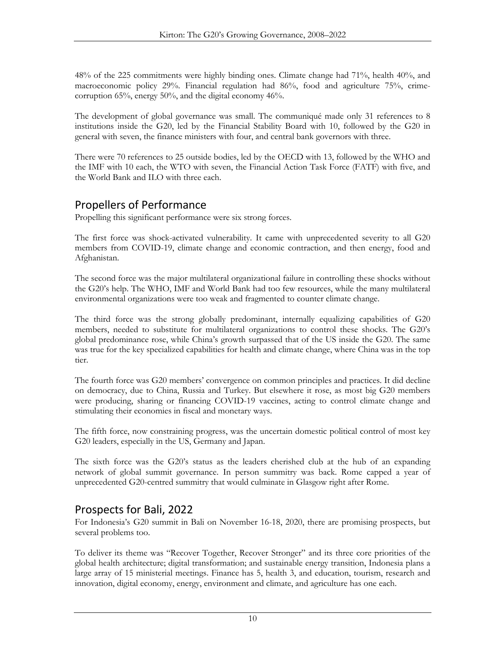48% of the 225 commitments were highly binding ones. Climate change had 71%, health 40%, and macroeconomic policy 29%. Financial regulation had 86%, food and agriculture 75%, crimecorruption 65%, energy 50%, and the digital economy 46%.

The development of global governance was small. The communiqué made only 31 references to 8 institutions inside the G20, led by the Financial Stability Board with 10, followed by the G20 in general with seven, the finance ministers with four, and central bank governors with three.

There were 70 references to 25 outside bodies, led by the OECD with 13, followed by the WHO and the IMF with 10 each, the WTO with seven, the Financial Action Task Force (FATF) with five, and the World Bank and ILO with three each.

# Propellers of Performance

Propelling this significant performance were six strong forces.

The first force was shock-activated vulnerability. It came with unprecedented severity to all G20 members from COVID-19, climate change and economic contraction, and then energy, food and Afghanistan.

The second force was the major multilateral organizational failure in controlling these shocks without the G20's help. The WHO, IMF and World Bank had too few resources, while the many multilateral environmental organizations were too weak and fragmented to counter climate change.

The third force was the strong globally predominant, internally equalizing capabilities of G20 members, needed to substitute for multilateral organizations to control these shocks. The G20's global predominance rose, while China's growth surpassed that of the US inside the G20. The same was true for the key specialized capabilities for health and climate change, where China was in the top tier.

The fourth force was G20 members' convergence on common principles and practices. It did decline on democracy, due to China, Russia and Turkey. But elsewhere it rose, as most big G20 members were producing, sharing or financing COVID-19 vaccines, acting to control climate change and stimulating their economies in fiscal and monetary ways.

The fifth force, now constraining progress, was the uncertain domestic political control of most key G20 leaders, especially in the US, Germany and Japan.

The sixth force was the G20's status as the leaders cherished club at the hub of an expanding network of global summit governance. In person summitry was back. Rome capped a year of unprecedented G20-centred summitry that would culminate in Glasgow right after Rome.

# Prospects for Bali, 2022

For Indonesia's G20 summit in Bali on November 16-18, 2020, there are promising prospects, but several problems too.

To deliver its theme was "Recover Together, Recover Stronger" and its three core priorities of the global health architecture; digital transformation; and sustainable energy transition, Indonesia plans a large array of 15 ministerial meetings. Finance has 5, health 3, and education, tourism, research and innovation, digital economy, energy, environment and climate, and agriculture has one each.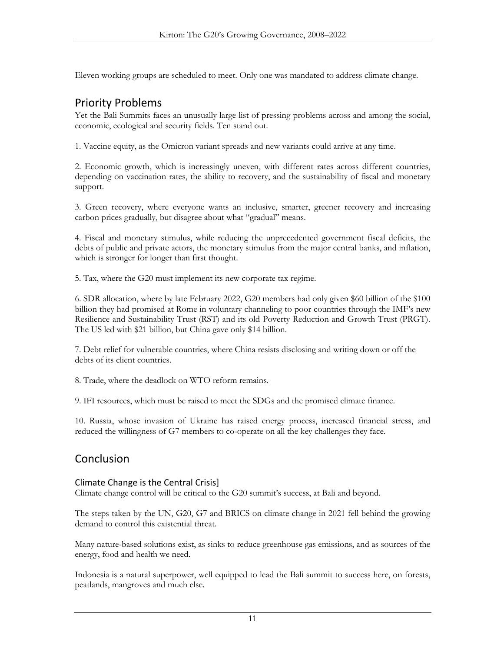Eleven working groups are scheduled to meet. Only one was mandated to address climate change.

### Priority Problems

Yet the Bali Summits faces an unusually large list of pressing problems across and among the social, economic, ecological and security fields. Ten stand out.

1. Vaccine equity, as the Omicron variant spreads and new variants could arrive at any time.

2. Economic growth, which is increasingly uneven, with different rates across different countries, depending on vaccination rates, the ability to recovery, and the sustainability of fiscal and monetary support.

3. Green recovery, where everyone wants an inclusive, smarter, greener recovery and increasing carbon prices gradually, but disagree about what "gradual" means.

4. Fiscal and monetary stimulus, while reducing the unprecedented government fiscal deficits, the debts of public and private actors, the monetary stimulus from the major central banks, and inflation, which is stronger for longer than first thought.

5. Tax, where the G20 must implement its new corporate tax regime.

6. SDR allocation, where by late February 2022, G20 members had only given \$60 billion of the \$100 billion they had promised at Rome in voluntary channeling to poor countries through the IMF's new Resilience and Sustainability Trust (RST) and its old Poverty Reduction and Growth Trust (PRGT). The US led with \$21 billion, but China gave only \$14 billion.

7. Debt relief for vulnerable countries, where China resists disclosing and writing down or off the debts of its client countries.

8. Trade, where the deadlock on WTO reform remains.

9. IFI resources, which must be raised to meet the SDGs and the promised climate finance.

10. Russia, whose invasion of Ukraine has raised energy process, increased financial stress, and reduced the willingness of G7 members to co-operate on all the key challenges they face.

# Conclusion

#### Climate Change is the Central Crisis]

Climate change control will be critical to the G20 summit's success, at Bali and beyond.

The steps taken by the UN, G20, G7 and BRICS on climate change in 2021 fell behind the growing demand to control this existential threat.

Many nature-based solutions exist, as sinks to reduce greenhouse gas emissions, and as sources of the energy, food and health we need.

Indonesia is a natural superpower, well equipped to lead the Bali summit to success here, on forests, peatlands, mangroves and much else.